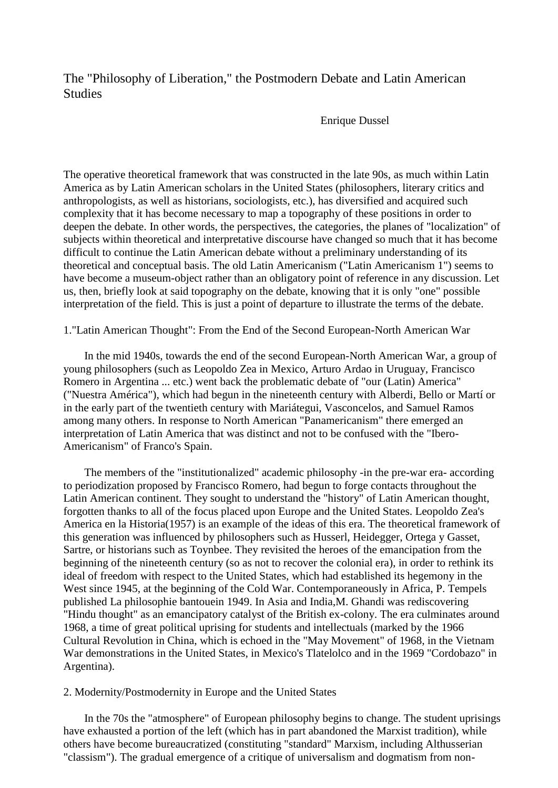The "Philosophy of Liberation," the Postmodern Debate and Latin American Studies

Enrique Dussel

The operative theoretical framework that was constructed in the late 90s, as much within Latin America as by Latin American scholars in the United States (philosophers, literary critics and anthropologists, as well as historians, sociologists, etc.), has diversified and acquired such complexity that it has become necessary to map a topography of these positions in order to deepen the debate. In other words, the perspectives, the categories, the planes of "localization" of subjects within theoretical and interpretative discourse have changed so much that it has become difficult to continue the Latin American debate without a preliminary understanding of its theoretical and conceptual basis. The old Latin Americanism ("Latin Americanism 1") seems to have become a museum-object rather than an obligatory point of reference in any discussion. Let us, then, briefly look at said topography on the debate, knowing that it is only "one" possible interpretation of the field. This is just a point of departure to illustrate the terms of the debate.

1."Latin American Thought": From the End of the Second European-North American War

In the mid 1940s, towards the end of the second European-North American War, a group of young philosophers (such as Leopoldo Zea in Mexico, Arturo Ardao in Uruguay, Francisco Romero in Argentina ... etc.) went back the problematic debate of "our (Latin) America" ("Nuestra América"), which had begun in the nineteenth century with Alberdi, Bello or Martí or in the early part of the twentieth century with Mariátegui, Vasconcelos, and Samuel Ramos among many others. In response to North American "Panamericanism" there emerged an interpretation of Latin America that was distinct and not to be confused with the "Ibero-Americanism" of Franco's Spain.

The members of the "institutionalized" academic philosophy -in the pre-war era- according to periodization proposed by Francisco Romero, had begun to forge contacts throughout the Latin American continent. They sought to understand the "history" of Latin American thought, forgotten thanks to all of the focus placed upon Europe and the United States. Leopoldo Zea's America en la Historia(1957) is an example of the ideas of this era. The theoretical framework of this generation was influenced by philosophers such as Husserl, Heidegger, Ortega y Gasset, Sartre, or historians such as Toynbee. They revisited the heroes of the emancipation from the beginning of the nineteenth century (so as not to recover the colonial era), in order to rethink its ideal of freedom with respect to the United States, which had established its hegemony in the West since 1945, at the beginning of the Cold War. Contemporaneously in Africa, P. Tempels published La philosophie bantouein 1949. In Asia and India,M. Ghandi was rediscovering "Hindu thought" as an emancipatory catalyst of the British ex-colony. The era culminates around 1968, a time of great political uprising for students and intellectuals (marked by the 1966 Cultural Revolution in China, which is echoed in the "May Movement" of 1968, in the Vietnam War demonstrations in the United States, in Mexico's Tlatelolco and in the 1969 "Cordobazo" in Argentina).

### 2. Modernity/Postmodernity in Europe and the United States

In the 70s the "atmosphere" of European philosophy begins to change. The student uprisings have exhausted a portion of the left (which has in part abandoned the Marxist tradition), while others have become bureaucratized (constituting "standard" Marxism, including Althusserian "classism"). The gradual emergence of a critique of universalism and dogmatism from non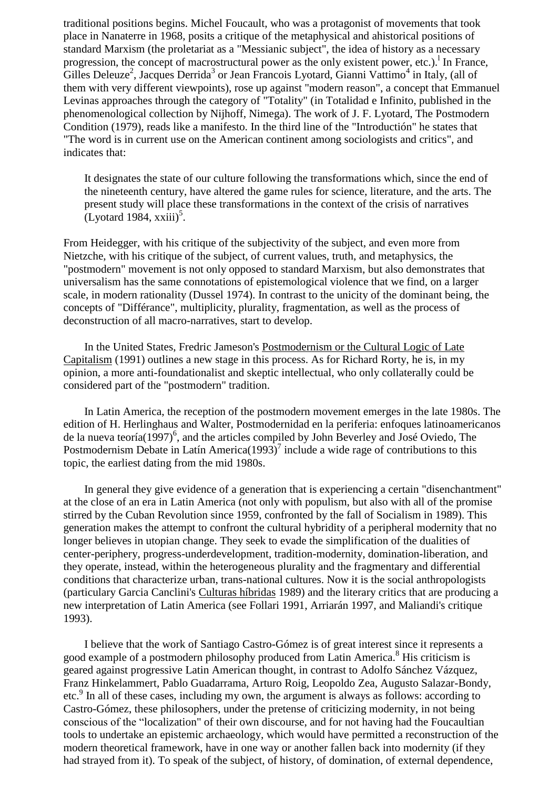traditional positions begins. Michel Foucault, who was a protagonist of movements that took place in Nanaterre in 1968, posits a critique of the metaphysical and ahistorical positions of standard Marxism (the proletariat as a "Messianic subject", the idea of history as a necessary progression, the concept of macrostructural power as the only existent power, etc.).<sup>1</sup> In France, Gilles Deleuze<sup>2</sup>, Jacques Derrida<sup>3</sup> or Jean Francois Lyotard, Gianni Vattimo<sup>4</sup> in Italy, (all of them with very different viewpoints), rose up against "modern reason", a concept that Emmanuel Levinas approaches through the category of "Totality" (in Totalidad e Infinito, published in the phenomenological collection by Nijhoff, Nimega). The work of J. F. Lyotard, The Postmodern Condition (1979), reads like a manifesto. In the third line of the "Introductión" he states that "The word is in current use on the American continent among sociologists and critics", and indicates that:

It designates the state of our culture following the transformations which, since the end of the nineteenth century, have altered the game rules for science, literature, and the arts. The present study will place these transformations in the context of the crisis of narratives  $(L$ yotard 1984, xxiii)<sup>5</sup>.

From Heidegger, with his critique of the subjectivity of the subject, and even more from Nietzche, with his critique of the subject, of current values, truth, and metaphysics, the "postmodern" movement is not only opposed to standard Marxism, but also demonstrates that universalism has the same connotations of epistemological violence that we find, on a larger scale, in modern rationality (Dussel 1974). In contrast to the unicity of the dominant being, the concepts of "Différance", multiplicity, plurality, fragmentation, as well as the process of deconstruction of all macro-narratives, start to develop.

In the United States, Fredric Jameson's Postmodernism or the Cultural Logic of Late Capitalism (1991) outlines a new stage in this process. As for Richard Rorty, he is, in my opinion, a more anti-foundationalist and skeptic intellectual, who only collaterally could be considered part of the "postmodern" tradition.

In Latin America, the reception of the postmodern movement emerges in the late 1980s. The edition of H. Herlinghaus and Walter, Postmodernidad en la periferia: enfoques latinoamericanos de la nueva teoría $(1997)^6$ , and the articles compiled by John Beverley and José Oviedo, The Postmodernism Debate in Latín America $(1993)^7$  include a wide rage of contributions to this topic, the earliest dating from the mid 1980s.

In general they give evidence of a generation that is experiencing a certain "disenchantment" at the close of an era in Latin America (not only with populism, but also with all of the promise stirred by the Cuban Revolution since 1959, confronted by the fall of Socialism in 1989). This generation makes the attempt to confront the cultural hybridity of a peripheral modernity that no longer believes in utopian change. They seek to evade the simplification of the dualities of center-periphery, progress-underdevelopment, tradition-modernity, domination-liberation, and they operate, instead, within the heterogeneous plurality and the fragmentary and differential conditions that characterize urban, trans-national cultures. Now it is the social anthropologists (particulary Garcia Canclini's Culturas híbridas 1989) and the literary critics that are producing a new interpretation of Latin America (see Follari 1991, Arriarán 1997, and Maliandi's critique 1993).

I believe that the work of Santiago Castro-Gómez is of great interest since it represents a good example of a postmodern philosophy produced from Latin America.<sup>8</sup> His criticism is geared against progressive Latin American thought, in contrast to Adolfo Sánchez Vázquez, Franz Hinkelammert, Pablo Guadarrama, Arturo Roig, Leopoldo Zea, Augusto Salazar-Bondy, etc.<sup>9</sup> In all of these cases, including my own, the argument is always as follows: according to Castro-Gómez, these philosophers, under the pretense of criticizing modernity, in not being conscious of the "localization" of their own discourse, and for not having had the Foucaultian tools to undertake an epistemic archaeology, which would have permitted a reconstruction of the modern theoretical framework, have in one way or another fallen back into modernity (if they had strayed from it). To speak of the subject, of history, of domination, of external dependence,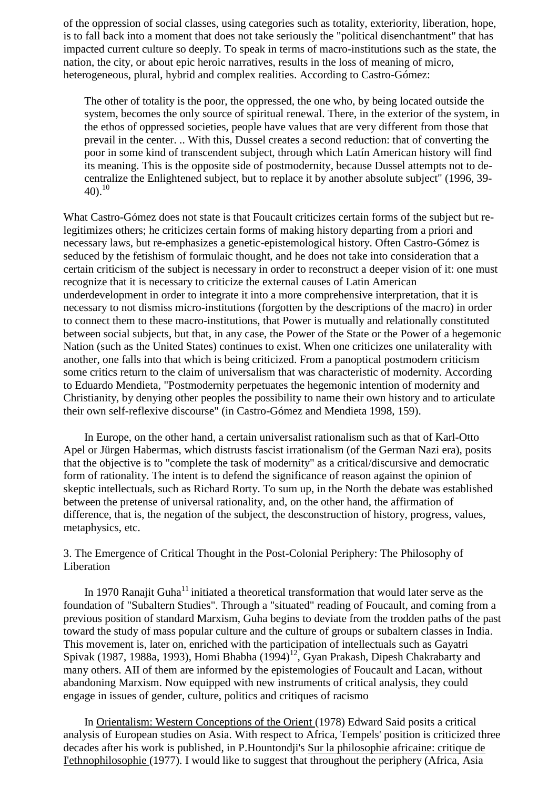of the oppression of social classes, using categories such as totality, exteriority, liberation, hope, is to fall back into a moment that does not take seriously the "political disenchantment" that has impacted current culture so deeply. To speak in terms of macro-institutions such as the state, the nation, the city, or about epic heroic narratives, results in the loss of meaning of micro, heterogeneous, plural, hybrid and complex realities. According to Castro-Gómez:

The other of totality is the poor, the oppressed, the one who, by being located outside the system, becomes the only source of spiritual renewal. There, in the exterior of the system, in the ethos of oppressed societies, people have values that are very different from those that prevail in the center. .. With this, Dussel creates a second reduction: that of converting the poor in some kind of transcendent subject, through which Latín American history will find its meaning. This is the opposite side of postmodernity, because Dussel attempts not to decentralize the Enlightened subject, but to replace it by another absolute subject" (1996, 39-  $(40).^{10}$ 

What Castro-Gómez does not state is that Foucault criticizes certain forms of the subject but relegitimizes others; he criticizes certain forms of making history departing from a priori and necessary laws, but re-emphasizes a genetic-epistemological history. Often Castro-Gómez is seduced by the fetishism of formulaic thought, and he does not take into consideration that a certain criticism of the subject is necessary in order to reconstruct a deeper vision of it: one must recognize that it is necessary to criticize the external causes of Latin American underdevelopment in order to integrate it into a more comprehensive interpretation, that it is necessary to not dismiss micro-institutions (forgotten by the descriptions of the macro) in order to connect them to these macro-institutions, that Power is mutually and relationally constituted between social subjects, but that, in any case, the Power of the State or the Power of a hegemonic Nation (such as the United States) continues to exist. When one criticizes one unilaterality with another, one falls into that which is being criticized. From a panoptical postmodern criticism some critics return to the claim of universalism that was characteristic of modernity. According to Eduardo Mendieta, "Postmodernity perpetuates the hegemonic intention of modernity and Christianity, by denying other peoples the possibility to name their own history and to articulate their own self-reflexive discourse" (in Castro-Gómez and Mendieta 1998, 159).

In Europe, on the other hand, a certain universalist rationalism such as that of Karl-Otto Apel or Jürgen Habermas, which distrusts fascist irrationalism (of the German Nazi era), posits that the objective is to "complete the task of modernity" as a critical/discursive and democratic form of rationality. The intent is to defend the significance of reason against the opinion of skeptic intellectuals, such as Richard Rorty. To sum up, in the North the debate was established between the pretense of universal rationality, and, on the other hand, the affirmation of difference, that is, the negation of the subject, the desconstruction of history, progress, values, metaphysics, etc.

# 3. The Emergence of Critical Thought in the Post-Colonial Periphery: The Philosophy of Liberation

In 1970 Ranajit Guha<sup>11</sup> initiated a theoretical transformation that would later serve as the foundation of "Subaltern Studies". Through a "situated" reading of Foucault, and coming from a previous position of standard Marxism, Guha begins to deviate from the trodden paths of the past toward the study of mass popular culture and the culture of groups or subaltern classes in India. This movement is, later on, enriched with the participation of intellectuals such as Gayatri Spivak (1987, 1988a, 1993), Homi Bhabha (1994)<sup>12</sup>, Gyan Prakash, Dipesh Chakrabarty and many others. AII of them are informed by the epistemologies of Foucault and Lacan, without abandoning Marxism. Now equipped with new instruments of critical analysis, they could engage in issues of gender, culture, politics and critiques of racismo

In Orientalism: Western Conceptions of the Orient (1978) Edward Said posits a critical analysis of European studies on Asia. With respect to Africa, Tempels' position is criticized three decades after his work is published, in P.Hountondji's Sur la philosophie africaine: critique de I'ethnophilosophie (1977). I would like to suggest that throughout the periphery (Africa, Asia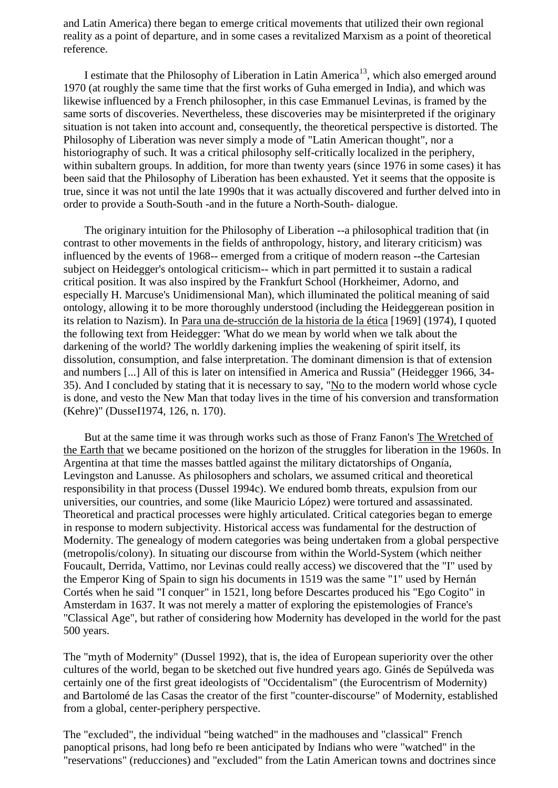and Latin America) there began to emerge critical movements that utilized their own regional reality as a point of departure, and in some cases a revitalized Marxism as a point of theoretical reference.

I estimate that the Philosophy of Liberation in Latin America<sup>13</sup>, which also emerged around 1970 (at roughly the same time that the first works of Guha emerged in India), and which was likewise influenced by a French philosopher, in this case Emmanuel Levinas, is framed by the same sorts of discoveries. Nevertheless, these discoveries may be misinterpreted if the originary situation is not taken into account and, consequently, the theoretical perspective is distorted. The Philosophy of Liberation was never simply a mode of "Latin American thought", nor a historiography of such. It was a critical philosophy self-critically localized in the periphery, within subaltern groups. In addition, for more than twenty years (since 1976 in some cases) it has been said that the Philosophy of Liberation has been exhausted. Yet it seems that the opposite is true, since it was not until the late 1990s that it was actually discovered and further delved into in order to provide a South-South -and in the future a North-South- dialogue.

The originary intuition for the Philosophy of Liberation --a philosophical tradition that (in contrast to other movements in the fields of anthropology, history, and literary criticism) was influenced by the events of 1968-- emerged from a critique of modern reason --the Cartesian subject on Heidegger's ontological criticism-- which in part permitted it to sustain a radical critical position. It was also inspired by the Frankfurt School (Horkheimer, Adorno, and especially H. Marcuse's Unidimensional Man), which illuminated the political meaning of said ontology, allowing it to be more thoroughly understood (including the Heideggerean position in its relation to Nazism). In Para una de-strucción de la historia de la ética [1969] (1974), I quoted the following text from Heidegger: 'What do we mean by world when we talk about the darkening of the world? The worldly darkening implies the weakening of spirit itself, its dissolution, consumption, and false interpretation. The dominant dimension is that of extension and numbers [...] All of this is later on intensified in America and Russia" (Heidegger 1966, 34- 35). And I concluded by stating that it is necessary to say, "No to the modern world whose cycle is done, and vesto the New Man that today lives in the time of his conversion and transformation (Kehre)" (DusseI1974, 126, n. 170).

But at the same time it was through works such as those of Franz Fanon's The Wretched of the Earth that we became positioned on the horizon of the struggles for liberation in the 1960s. In Argentina at that time the masses battled against the military dictatorships of Onganía, Levingston and Lanusse. As philosophers and scholars, we assumed critical and theoretical responsibility in that process (Dussel 1994c). We endured bomb threats, expulsion from our universities, our countries, and some (like Mauricio López) were tortured and assassinated. Theoretical and practical processes were highly articulated. Critical categories began to emerge in response to modern subjectivity. Historical access was fundamental for the destruction of Modernity. The genealogy of modern categories was being undertaken from a global perspective (metropolis/colony). In situating our discourse from within the World-System (which neither Foucault, Derrida, Vattimo, nor Levinas could really access) we discovered that the "I" used by the Emperor King of Spain to sign his documents in 1519 was the same "1" used by Hernán Cortés when he said "I conquer" in 1521, long before Descartes produced his "Ego Cogito" in Amsterdam in 1637. It was not merely a matter of exploring the epistemologies of France's "Classical Age", but rather of considering how Modernity has developed in the world for the past 500 years.

The "myth of Modernity" (Dussel 1992), that is, the idea of European superiority over the other cultures of the world, began to be sketched out five hundred years ago. Ginés de Sepúlveda was certainly one of the first great ideologists of "Occidentalism" (the Eurocentrism of Modernity) and Bartolomé de las Casas the creator of the first "counter-discourse" of Modernity, established from a global, center-periphery perspective.

The "excluded", the individual "being watched" in the madhouses and "classical" French panoptical prisons, had long befo re been anticipated by Indians who were "watched" in the "reservations" (reducciones) and "excluded" from the Latin American towns and doctrines since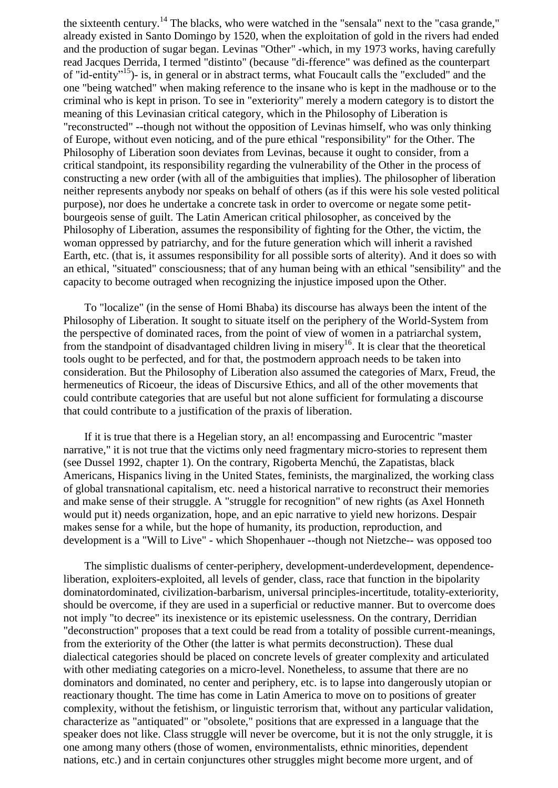the sixteenth century.<sup>14</sup> The blacks, who were watched in the "sensala" next to the "casa grande," already existed in Santo Domingo by 1520, when the exploitation of gold in the rivers had ended and the production of sugar began. Levinas "Other" -which, in my 1973 works, having carefully read Jacques Derrida, I termed "distinto" (because "di-fference" was defined as the counterpart of "id-entity"<sup>15</sup>)- is, in general or in abstract terms, what Foucault calls the "excluded" and the one "being watched" when making reference to the insane who is kept in the madhouse or to the criminal who is kept in prison. To see in "exteriority" merely a modern category is to distort the meaning of this Levinasian critical category, which in the Philosophy of Liberation is "reconstructed" --though not without the opposition of Levinas himself, who was only thinking of Europe, without even noticing, and of the pure ethical "responsibility" for the Other. The Philosophy of Liberation soon deviates from Levinas, because it ought to consider, from a critical standpoint, its responsibility regarding the vulnerability of the Other in the process of constructing a new order (with all of the ambiguities that implies). The philosopher of liberation neither represents anybody nor speaks on behalf of others (as if this were his sole vested political purpose), nor does he undertake a concrete task in order to overcome or negate some petitbourgeois sense of guilt. The Latin American critical philosopher, as conceived by the Philosophy of Liberation, assumes the responsibility of fighting for the Other, the victim, the woman oppressed by patriarchy, and for the future generation which will inherit a ravished Earth, etc. (that is, it assumes responsibility for all possible sorts of alterity). And it does so with an ethical, "situated" consciousness; that of any human being with an ethical "sensibility" and the capacity to become outraged when recognizing the injustice imposed upon the Other.

To "localize" (in the sense of Homi Bhaba) its discourse has always been the intent of the Philosophy of Liberation. It sought to situate itself on the periphery of the World-System from the perspective of dominated races, from the point of view of women in a patriarchal system, from the standpoint of disadvantaged children living in misery<sup>16</sup>. It is clear that the theoretical tools ought to be perfected, and for that, the postmodern approach needs to be taken into consideration. But the Philosophy of Liberation also assumed the categories of Marx, Freud, the hermeneutics of Ricoeur, the ideas of Discursive Ethics, and all of the other movements that could contribute categories that are useful but not alone sufficient for formulating a discourse that could contribute to a justification of the praxis of liberation.

If it is true that there is a Hegelian story, an al! encompassing and Eurocentric "master narrative," it is not true that the victims only need fragmentary micro-stories to represent them (see Dussel 1992, chapter 1). On the contrary, Rigoberta Menchú, the Zapatistas, black Americans, Hispanics living in the United States, feminists, the marginalized, the working class of global transnational capitalism, etc. need a historical narrative to reconstruct their memories and make sense of their struggle. A "struggle for recognition" of new rights (as Axel Honneth would put it) needs organization, hope, and an epic narrative to yield new horizons. Despair makes sense for a while, but the hope of humanity, its production, reproduction, and development is a "Will to Live" - which Shopenhauer --though not Nietzche-- was opposed too

The simplistic dualisms of center-periphery, development-underdevelopment, dependenceliberation, exploiters-exploited, all levels of gender, class, race that function in the bipolarity dominatordominated, civilization-barbarism, universal principles-incertitude, totality-exteriority, should be overcome, if they are used in a superficial or reductive manner. But to overcome does not imply "to decree" its inexistence or its epistemic uselessness. On the contrary, Derridian "deconstruction" proposes that a text could be read from a totality of possible current-meanings, from the exteriority of the Other (the latter is what permits deconstruction). These dual dialectical categories should be placed on concrete levels of greater complexity and articulated with other mediating categories on a micro-level. Nonetheless, to assume that there are no dominators and dominated, no center and periphery, etc. is to lapse into dangerously utopian or reactionary thought. The time has come in Latin America to move on to positions of greater complexity, without the fetishism, or linguistic terrorism that, without any particular validation, characterize as "antiquated" or "obsolete," positions that are expressed in a language that the speaker does not like. Class struggle will never be overcome, but it is not the only struggle, it is one among many others (those of women, environmentalists, ethnic minorities, dependent nations, etc.) and in certain conjunctures other struggles might become more urgent, and of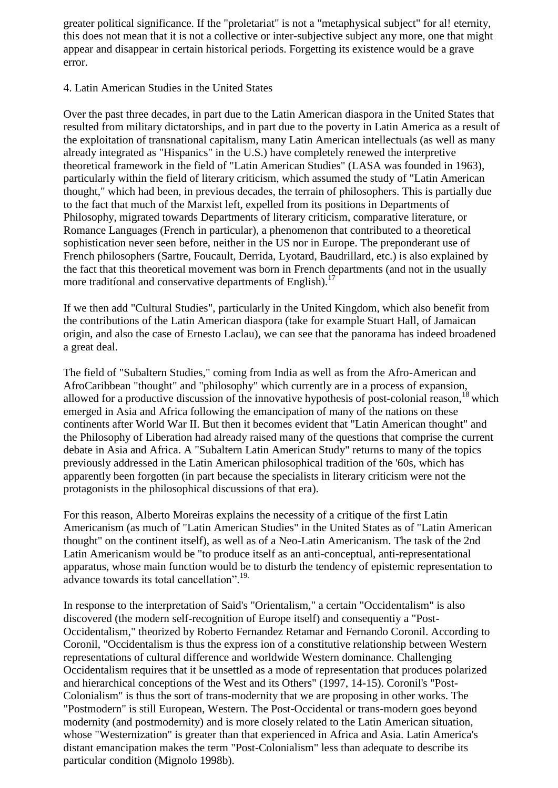greater political significance. If the "proletariat" is not a "metaphysical subject" for al! eternity, this does not mean that it is not a collective or inter-subjective subject any more, one that might appear and disappear in certain historical periods. Forgetting its existence would be a grave error.

# 4. Latin American Studies in the United States

Over the past three decades, in part due to the Latin American diaspora in the United States that resulted from military dictatorships, and in part due to the poverty in Latin America as a result of the exploitation of transnational capitalism, many Latin American intellectuals (as well as many already integrated as "Hispanics" in the U.S.) have completely renewed the interpretive theoretical framework in the field of "Latin American Studies" (LASA was founded in 1963), particularly within the field of literary criticism, which assumed the study of "Latin American thought," which had been, in previous decades, the terrain of philosophers. This is partially due to the fact that much of the Marxist left, expelled from its positions in Departments of Philosophy, migrated towards Departments of literary criticism, comparative literature, or Romance Languages (French in particular), a phenomenon that contributed to a theoretical sophistication never seen before, neither in the US nor in Europe. The preponderant use of French philosophers (Sartre, Foucault, Derrida, Lyotard, Baudrillard, etc.) is also explained by the fact that this theoretical movement was born in French departments (and not in the usually more traditional and conservative departments of English).<sup>17</sup>

If we then add "Cultural Studies", particularly in the United Kingdom, which also benefit from the contributions of the Latin American diaspora (take for example Stuart Hall, of Jamaican origin, and also the case of Ernesto Laclau), we can see that the panorama has indeed broadened a great deal.

The field of "Subaltern Studies," coming from India as well as from the Afro-American and AfroCaribbean "thought" and "philosophy" which currently are in a process of expansion, allowed for a productive discussion of the innovative hypothesis of post-colonial reason,  $^{18}$  which emerged in Asia and Africa following the emancipation of many of the nations on these continents after World War II. But then it becomes evident that "Latin American thought" and the Philosophy of Liberation had already raised many of the questions that comprise the current debate in Asia and Africa. A "Subaltern Latin American Study" returns to many of the topics previously addressed in the Latin American philosophical tradition of the '60s, which has apparently been forgotten (in part because the specialists in literary criticism were not the protagonists in the philosophical discussions of that era).

For this reason, Alberto Moreiras explains the necessity of a critique of the first Latin Americanism (as much of "Latin American Studies" in the United States as of "Latin American thought" on the continent itself), as well as of a Neo-Latin Americanism. The task of the 2nd Latin Americanism would be "to produce itself as an anti-conceptual, anti-representational apparatus, whose main function would be to disturb the tendency of epistemic representation to advance towards its total cancellation".19.

In response to the interpretation of Said's "Orientalism," a certain "Occidentalism" is also discovered (the modern self-recognition of Europe itself) and consequentiy a "Post-Occidentalism," theorized by Roberto Fernandez Retamar and Fernando Coronil. According to Coronil, "Occidentalism is thus the express ion of a constitutive relationship between Western representations of cultural difference and worldwide Western dominance. Challenging Occidentalism requires that it be unsettled as a mode of representation that produces polarized and hierarchical conceptions of the West and its Others" (1997, 14-15). Coronil's "Post-Colonialism" is thus the sort of trans-modernity that we are proposing in other works. The "Postmodern" is still European, Western. The Post-Occidental or trans-modern goes beyond modernity (and postmodernity) and is more closely related to the Latin American situation, whose "Westernization" is greater than that experienced in Africa and Asia. Latin America's distant emancipation makes the term "Post-Colonialism" less than adequate to describe its particular condition (Mignolo 1998b).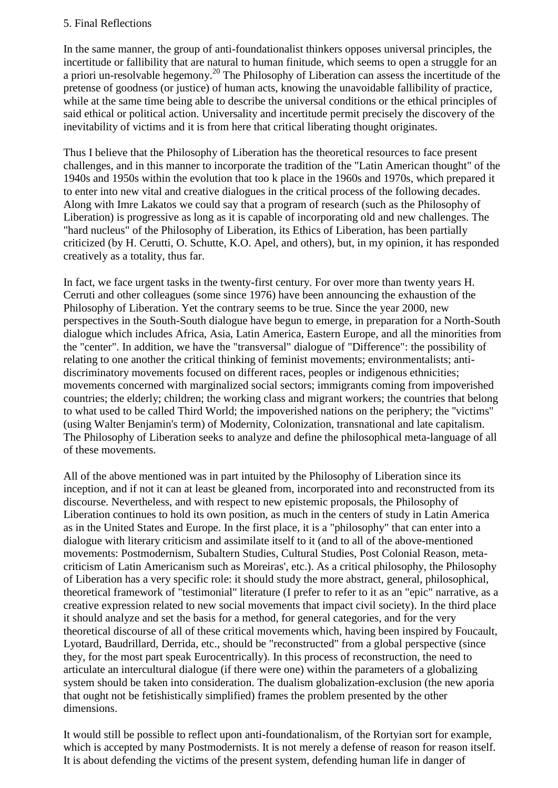# 5. Final Reflections

In the same manner, the group of anti-foundationalist thinkers opposes universal principles, the incertitude or fallibility that are natural to human finitude, which seems to open a struggle for an a priori un-resolvable hegemony.<sup>20</sup> The Philosophy of Liberation can assess the incertitude of the pretense of goodness (or justice) of human acts, knowing the unavoidable fallibility of practice, while at the same time being able to describe the universal conditions or the ethical principles of said ethical or political action. Universality and incertitude permit precisely the discovery of the inevitability of victims and it is from here that critical liberating thought originates.

Thus I believe that the Philosophy of Liberation has the theoretical resources to face present challenges, and in this manner to incorporate the tradition of the "Latin American thought" of the 1940s and 1950s within the evolution that too k place in the 1960s and 1970s, which prepared it to enter into new vital and creative dialogues in the critical process of the following decades. Along with Imre Lakatos we could say that a program of research (such as the Philosophy of Liberation) is progressive as long as it is capable of incorporating old and new challenges. The "hard nucleus" of the Philosophy of Liberation, its Ethics of Liberation, has been partially criticized (by H. Cerutti, O. Schutte, K.O. Apel, and others), but, in my opinion, it has responded creatively as a totality, thus far.

In fact, we face urgent tasks in the twenty-first century. For over more than twenty years H. Cerruti and other colleagues (some since 1976) have been announcing the exhaustion of the Philosophy of Liberation. Yet the contrary seems to be true. Since the year 2000, new perspectives in the South-South dialogue have begun to emerge, in preparation for a North-South dialogue which includes Africa, Asia, Latin America, Eastern Europe, and all the minorities from the "center". In addition, we have the "transversal" dialogue of "Difference": the possibility of relating to one another the critical thinking of feminist movements; environmentalists; antidiscriminatory movements focused on different races, peoples or indigenous ethnicities; movements concerned with marginalized social sectors; immigrants coming from impoverished countries; the elderly; children; the working class and migrant workers; the countries that belong to what used to be called Third World; the impoverished nations on the periphery; the ''victims'' (using Walter Benjamin's term) of Modernity, Colonization, transnational and late capitalism. The Philosophy of Liberation seeks to analyze and define the philosophical meta-language of all of these movements.

All of the above mentioned was in part intuited by the Philosophy of Liberation since its inception, and if not it can at least be gleaned from, incorporated into and reconstructed from its discourse. Nevertheless, and with respect to new epistemic proposals, the Philosophy of Liberation continues to hold its own position, as much in the centers of study in Latin America as in the United States and Europe. In the first place, it is a "philosophy" that can enter into a dialogue with literary criticism and assimilate itself to it (and to all of the above-mentioned movements: Postmodernism, Subaltern Studies, Cultural Studies, Post Colonial Reason, metacriticism of Latin Americanism such as Moreiras', etc.). As a critical philosophy, the Philosophy of Liberation has a very specific role: it should study the more abstract, general, philosophical, theoretical framework of "testimonial" literature (I prefer to refer to it as an "epic" narrative, as a creative expression related to new social movements that impact civil society). In the third place it should analyze and set the basis for a method, for general categories, and for the very theoretical discourse of all of these critical movements which, having been inspired by Foucault, Lyotard, Baudrillard, Derrida, etc., should be "reconstructed" from a global perspective (since they, for the most part speak Eurocentrically). In this process of reconstruction, the need to articulate an intercultural dialogue (if there were one) within the parameters of a globalizing system should be taken into consideration. The dualism globalization-exclusion (the new aporia that ought not be fetishistically simplified) frames the problem presented by the other dimensions.

It would still be possible to reflect upon anti-foundationalism, of the Rortyian sort for example, which is accepted by many Postmodernists. It is not merely a defense of reason for reason itself. It is about defending the victims of the present system, defending human life in danger of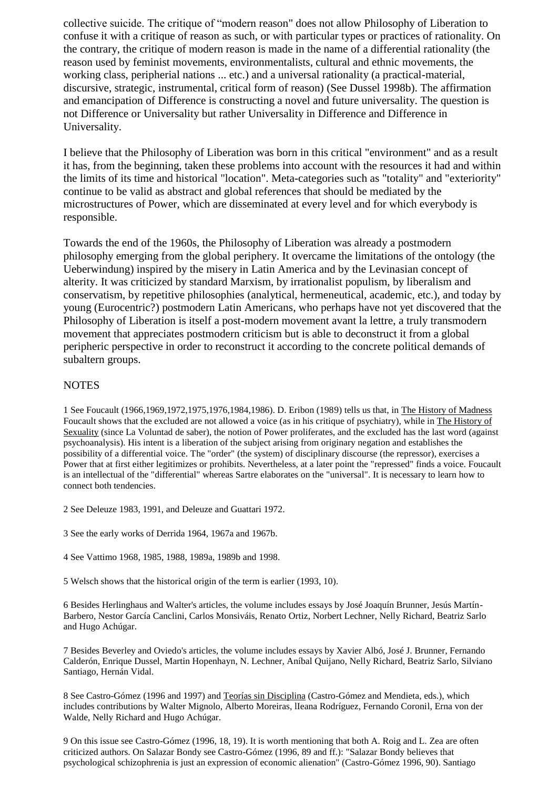collective suicide. The critique of "modern reason" does not allow Philosophy of Liberation to confuse it with a critique of reason as such, or with particular types or practices of rationality. On the contrary, the critique of modern reason is made in the name of a differential rationality (the reason used by feminist movements, environmentalists, cultural and ethnic movements, the working class, peripherial nations ... etc.) and a universal rationality (a practical-material, discursive, strategic, instrumental, critical form of reason) (See Dussel 1998b). The affirmation and emancipation of Difference is constructing a novel and future universality. The question is not Difference or Universality but rather Universality in Difference and Difference in Universality.

I believe that the Philosophy of Liberation was born in this critical "environment" and as a result it has, from the beginning, taken these problems into account with the resources it had and within the limits of its time and historical "location". Meta-categories such as "totality" and "exteriority" continue to be valid as abstract and global references that should be mediated by the microstructures of Power, which are disseminated at every level and for which everybody is responsible.

Towards the end of the 1960s, the Philosophy of Liberation was already a postmodern philosophy emerging from the global periphery. It overcame the limitations of the ontology (the Ueberwindung) inspired by the misery in Latin America and by the Levinasian concept of alterity. It was criticized by standard Marxism, by irrationalist populism, by liberalism and conservatism, by repetitive philosophies (analytical, hermeneutical, academic, etc.), and today by young (Eurocentric?) postmodern Latin Americans, who perhaps have not yet discovered that the Philosophy of Liberation is itself a post-modern movement avant la lettre, a truly transmodern movement that appreciates postmodern criticism but is able to deconstruct it from a global peripheric perspective in order to reconstruct it according to the concrete political demands of subaltern groups.

# **NOTES**

1 See Foucault (1966,1969,1972,1975,1976,1984,1986). D. Eribon (1989) tells us that, in The History of Madness Foucault shows that the excluded are not allowed a voice (as in his critique of psychiatry), while in The History of Sexuality (since La Voluntad de saber), the notion of Power proliferates, and the excluded has the last word (against psychoanalysis). His intent is a liberation of the subject arising from originary negation and establishes the possibility of a differential voice. The "order" (the system) of disciplinary discourse (the repressor), exercises a Power that at first either legitimizes or prohibits. Nevertheless, at a later point the "repressed" finds a voice. Foucault is an intellectual of the "differential" whereas Sartre elaborates on the "universal". It is necessary to learn how to connect both tendencies.

2 See Deleuze 1983, 1991, and Deleuze and Guattari 1972.

3 See the early works of Derrida 1964, 1967a and 1967b.

4 See Vattimo 1968, 1985, 1988, 1989a, 1989b and 1998.

5 Welsch shows that the historical origin of the term is earlier (1993, 10).

6 Besides Herlinghaus and Walter's articles, the volume includes essays by José Joaquín Brunner, Jesús Martín-Barbero, Nestor García Canclini, Carlos Monsiváis, Renato Ortiz, Norbert Lechner, Nelly Richard, Beatriz Sarlo and Hugo Achúgar.

7 Besides Beverley and Oviedo's articles, the volume includes essays by Xavier Albó, José J. Brunner, Fernando Calderón, Enrique Dussel, Martin Hopenhayn, N. Lechner, Aníbal Quijano, Nelly Richard, Beatriz Sarlo, Silviano Santiago, Hernán Vidal.

8 See Castro-Gómez (1996 and 1997) and Teorías sin Disciplina (Castro-Gómez and Mendieta, eds.), which includes contributions by Walter Mignolo, Alberto Moreiras, lIeana Rodríguez, Fernando Coronil, Erna von der Walde, Nelly Richard and Hugo Achúgar.

9 On this issue see Castro-Gómez (1996, 18, 19). It is worth mentioning that both A. Roig and L. Zea are often criticized authors. On Salazar Bondy see Castro-Gómez (1996, 89 and ff.): "Salazar Bondy believes that psychological schizophrenia is just an expression of economic alienation" (Castro-Gómez 1996, 90). Santiago